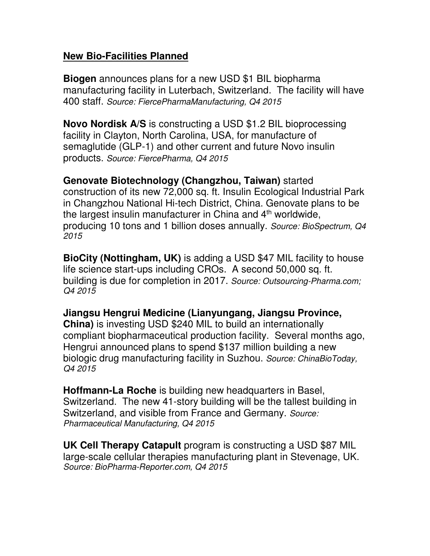## **New Bio-Facilities Planned**

**Biogen** announces plans for a new USD \$1 BIL biopharma manufacturing facility in Luterbach, Switzerland. The facility will have 400 staff. *Source: FiercePharmaManufacturing, Q4 2015*

**Novo Nordisk A/S** is constructing a USD \$1.2 BIL bioprocessing facility in Clayton, North Carolina, USA, for manufacture of semaglutide (GLP-1) and other current and future Novo insulin products. *Source: FiercePharma, Q4 2015*

**Genovate Biotechnology (Changzhou, Taiwan)** started

construction of its new 72,000 sq. ft. Insulin Ecological Industrial Park in Changzhou National Hi-tech District, China. Genovate plans to be the largest insulin manufacturer in China and  $4<sup>th</sup>$  worldwide, producing 10 tons and 1 billion doses annually. *Source: BioSpectrum, Q4 2015* 

**BioCity (Nottingham, UK)** is adding a USD \$47 MIL facility to house life science start-ups including CROs. A second 50,000 sq. ft. building is due for completion in 2017. *Source: Outsourcing-Pharma.com; Q4 2015* 

**Jiangsu Hengrui Medicine (Lianyungang, Jiangsu Province, China)** is investing USD \$240 MIL to build an internationally compliant biopharmaceutical production facility. Several months ago, Hengrui announced plans to spend \$137 million building a new biologic drug manufacturing facility in Suzhou. *Source: ChinaBioToday, Q4 2015*

**Hoffmann-La Roche** is building new headquarters in Basel, Switzerland. The new 41-story building will be the tallest building in Switzerland, and visible from France and Germany. *Source: Pharmaceutical Manufacturing, Q4 2015*

**UK Cell Therapy Catapult** program is constructing a USD \$87 MIL large-scale cellular therapies manufacturing plant in Stevenage, UK. *Source: BioPharma-Reporter.com, Q4 2015*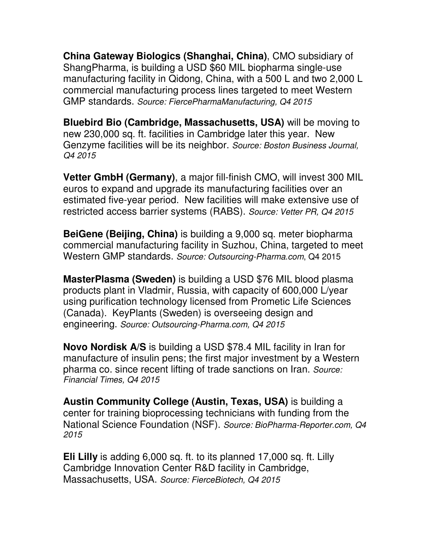**China Gateway Biologics (Shanghai, China)**, CMO subsidiary of ShangPharma, is building a USD \$60 MIL biopharma single-use manufacturing facility in Qidong, China, with a 500 L and two 2,000 L commercial manufacturing process lines targeted to meet Western GMP standards. *Source: FiercePharmaManufacturing, Q4 2015*

**Bluebird Bio (Cambridge, Massachusetts, USA)** will be moving to new 230,000 sq. ft. facilities in Cambridge later this year. New Genzyme facilities will be its neighbor. *Source: Boston Business Journal, Q4 2015*

**Vetter GmbH (Germany)**, a major fill-finish CMO, will invest 300 MIL euros to expand and upgrade its manufacturing facilities over an estimated five-year period. New facilities will make extensive use of restricted access barrier systems (RABS). *Source: Vetter PR, Q4 2015* 

**BeiGene (Beijing, China)** is building a 9,000 sq. meter biopharma commercial manufacturing facility in Suzhou, China, targeted to meet Western GMP standards. *Source: Outsourcing-Pharma.com*, Q4 2015

**MasterPlasma (Sweden)** is building a USD \$76 MIL blood plasma products plant in Vladmir, Russia, with capacity of 600,000 L/year using purification technology licensed from Prometic Life Sciences (Canada). KeyPlants (Sweden) is overseeing design and engineering. *Source: Outsourcing-Pharma.com, Q4 2015*

**Novo Nordisk A/S** is building a USD \$78.4 MIL facility in Iran for manufacture of insulin pens; the first major investment by a Western pharma co. since recent lifting of trade sanctions on Iran. *Source: Financial Times, Q4 2015*

**Austin Community College (Austin, Texas, USA)** is building a center for training bioprocessing technicians with funding from the National Science Foundation (NSF). *Source: BioPharma-Reporter.com, Q4 2015* 

**Eli Lilly** is adding 6,000 sq. ft. to its planned 17,000 sq. ft. Lilly Cambridge Innovation Center R&D facility in Cambridge, Massachusetts, USA. *Source: FierceBiotech, Q4 2015*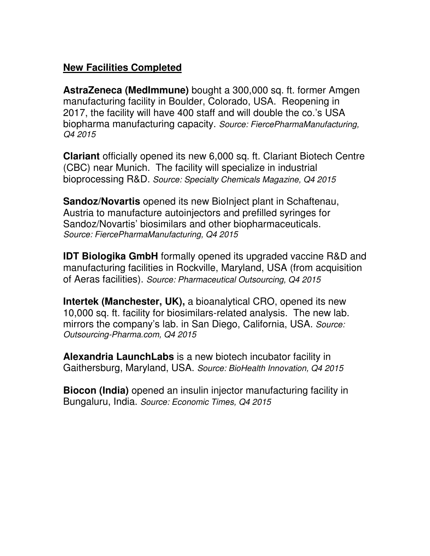## **New Facilities Completed**

**AstraZeneca (MedImmune)** bought a 300,000 sq. ft. former Amgen manufacturing facility in Boulder, Colorado, USA. Reopening in 2017, the facility will have 400 staff and will double the co.'s USA biopharma manufacturing capacity. *Source: FiercePharmaManufacturing, Q4 2015*

**Clariant** officially opened its new 6,000 sq. ft. Clariant Biotech Centre (CBC) near Munich. The facility will specialize in industrial bioprocessing R&D. *Source: Specialty Chemicals Magazine, Q4 2015*

**Sandoz/Novartis** opened its new BioInject plant in Schaftenau, Austria to manufacture autoinjectors and prefilled syringes for Sandoz/Novartis' biosimilars and other biopharmaceuticals. *Source: FiercePharmaManufacturing, Q4 2015* 

**IDT Biologika GmbH** formally opened its upgraded vaccine R&D and manufacturing facilities in Rockville, Maryland, USA (from acquisition of Aeras facilities). *Source: Pharmaceutical Outsourcing, Q4 2015*

**Intertek (Manchester, UK),** a bioanalytical CRO, opened its new 10,000 sq. ft. facility for biosimilars-related analysis. The new lab. mirrors the company's lab. in San Diego, California, USA. *Source: Outsourcing-Pharma.com, Q4 2015* 

**Alexandria LaunchLabs** is a new biotech incubator facility in Gaithersburg, Maryland, USA. *Source: BioHealth Innovation, Q4 2015*

**Biocon (India)** opened an insulin injector manufacturing facility in Bungaluru, India. *Source: Economic Times, Q4 2015*